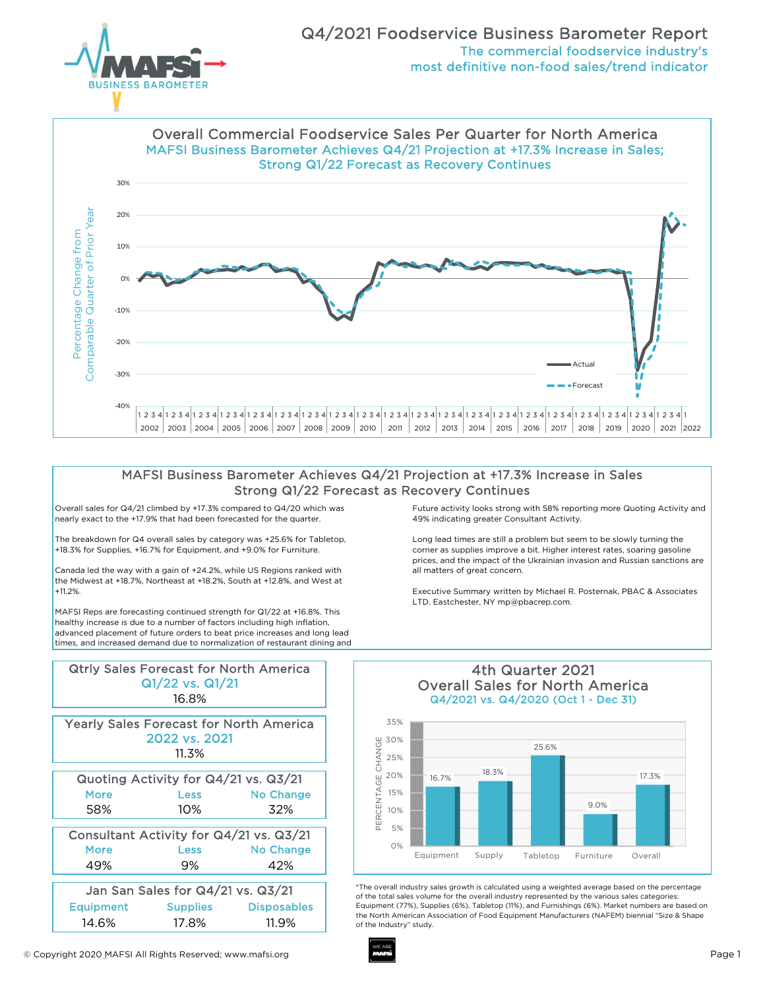



## MAFSI Business Barometer Achieves Q4/21 Projection at +17.3% Increase in Sales Strong Q1/22 Forecast as Recovery Continues

Overall sales for Q4/21 climbed by +17.3% compared to Q4/20 which was nearly exact to the +17.9% that had been forecasted for the quarter.

The breakdown for Q4 overall sales by category was +25.6% for Tabletop, +18.3% for Supplies, +16.7% for Equipment, and +9.0% for Furniture.

Canada led the way with a gain of +24.2%, while US Regions ranked with the Midwest at +18.7%, Northeast at +18.2%, South at +12.8%, and West at +11.2%.

MAFSI Reps are forecasting continued strength for Q1/22 at +16.8%. This healthy increase is due to a number of factors including high inflation, advanced placement of future orders to beat price increases and long lead times, and increased demand due to normalization of restaurant dining and

| <b>Qtrly Sales Forecast for North America</b><br>Q1/22 vs. Q1/21 |          |                    |  |  |
|------------------------------------------------------------------|----------|--------------------|--|--|
| 16.8%                                                            |          |                    |  |  |
| <b>Yearly Sales Forecast for North America</b>                   |          |                    |  |  |
| 2022 vs. 2021                                                    |          |                    |  |  |
| 11.3%                                                            |          |                    |  |  |
| Quoting Activity for Q4/21 vs. Q3/21                             |          |                    |  |  |
| More                                                             | Less     | <b>No Change</b>   |  |  |
| 58%                                                              | 10%      | 32%                |  |  |
| Consultant Activity for Q4/21 vs. Q3/21                          |          |                    |  |  |
| More                                                             | Less     | <b>No Change</b>   |  |  |
| 49%                                                              | 9%       | 42%                |  |  |
| Jan San Sales for Q4/21 vs. Q3/21                                |          |                    |  |  |
| Equipment                                                        | Supplies | <b>Disposables</b> |  |  |
| 14.6%                                                            | 17.8%    | 11.9%              |  |  |

Future activity looks strong with 58% reporting more Quoting Activity and 49% indicating greater Consultant Activity.

Long lead times are still a problem but seem to be slowly turning the corner as supplies improve a bit. Higher interest rates, soaring gasoline prices, and the impact of the Ukrainian invasion and Russian sanctions are all matters of great concern.

Executive Summary written by Michael R. Posternak, PBAC & Associates LTD. Eastchester, NY mp@pbacrep.com.



4th Quarter 2021

\*The overall industry sales growth is calculated using a weighted average based on the percentage of the total sales volume for the overall industry represented by the various sales categories: Equipment (77%), Supplies (6%), Tabletop (11%), and Furnishings (6%). Market numbers are based on the North American Association of Food Equipment Manufacturers (NAFEM) biennial "Size & Shape of the Industry" study.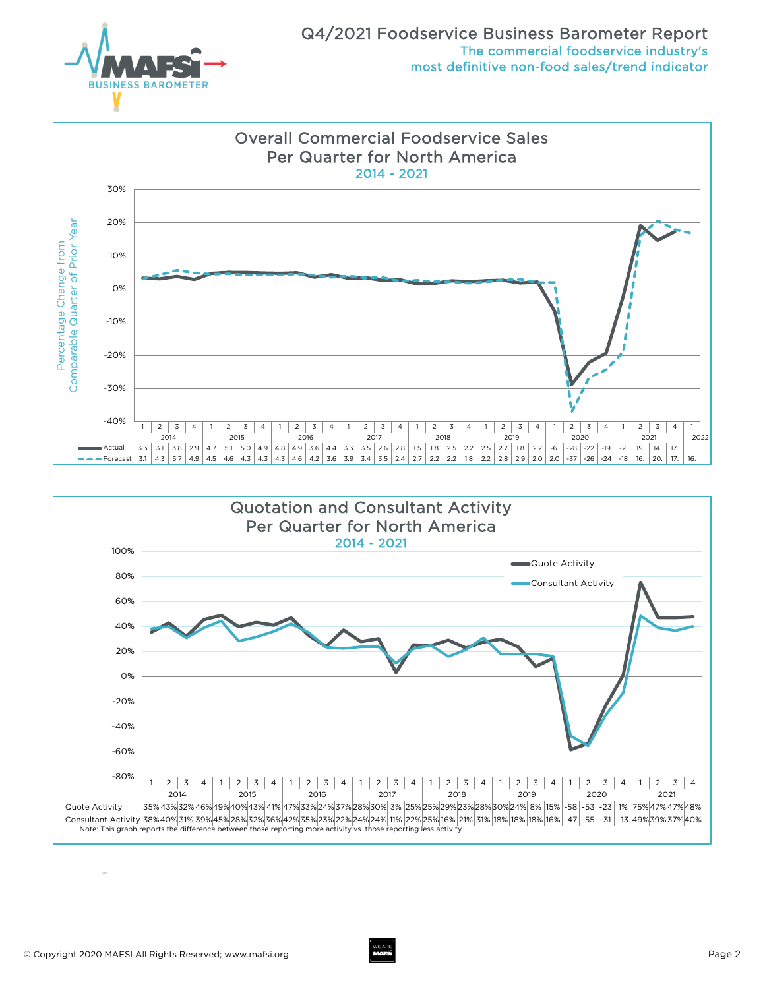



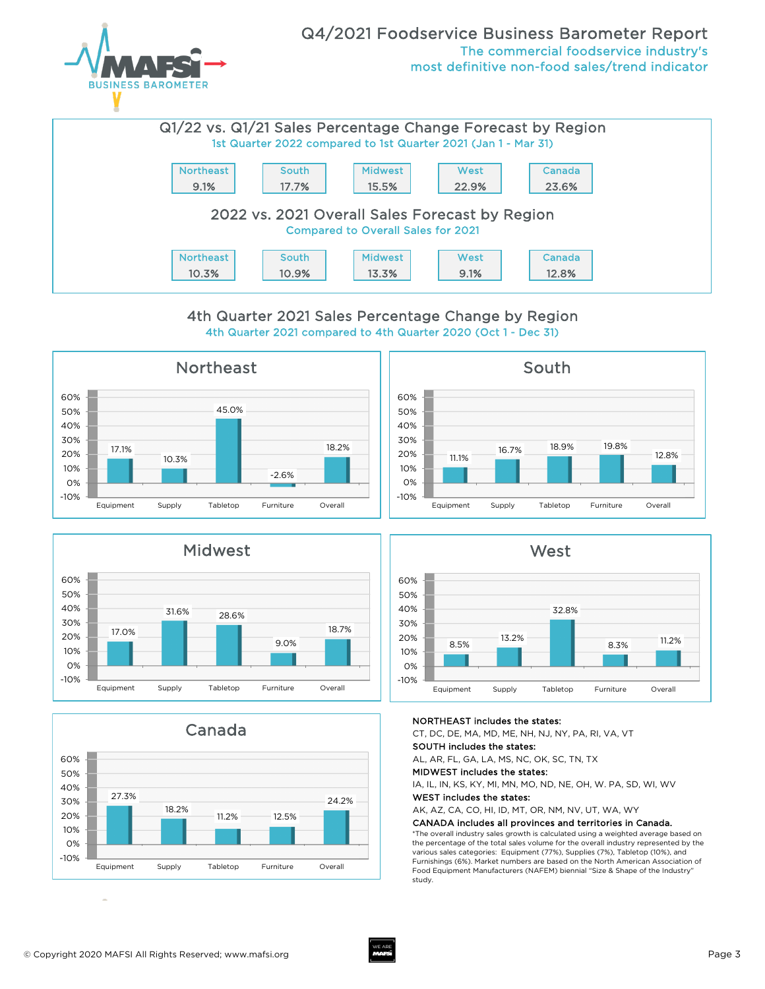



## 4th Quarter 2021 compared to 4th Quarter 2020 (Oct 1 - Dec 31) 4th Quarter 2021 Sales Percentage Change by Region











#### NORTHEAST includes the states:

CT, DC, DE, MA, MD, ME, NH, NJ, NY, PA, RI, VA, VT

## SOUTH includes the states:

AL, AR, FL, GA, LA, MS, NC, OK, SC, TN, TX

MIDWEST includes the states:

IA, IL, IN, KS, KY, MI, MN, MO, ND, NE, OH, W. PA, SD, WI, WV

#### WEST includes the states:

AK, AZ, CA, CO, HI, ID, MT, OR, NM, NV, UT, WA, WY

#### CANADA includes all provinces and territories in Canada.

\*The overall industry sales growth is calculated using a weighted average based on the percentage of the total sales volume for the overall industry represented by the various sales categories: Equipment (77%), Supplies (7%), Tabletop (10%), and Furnishings (6%). Market numbers are based on the North American Association of Food Equipment Manufacturers (NAFEM) biennial "Size & Shape of the Industry" study.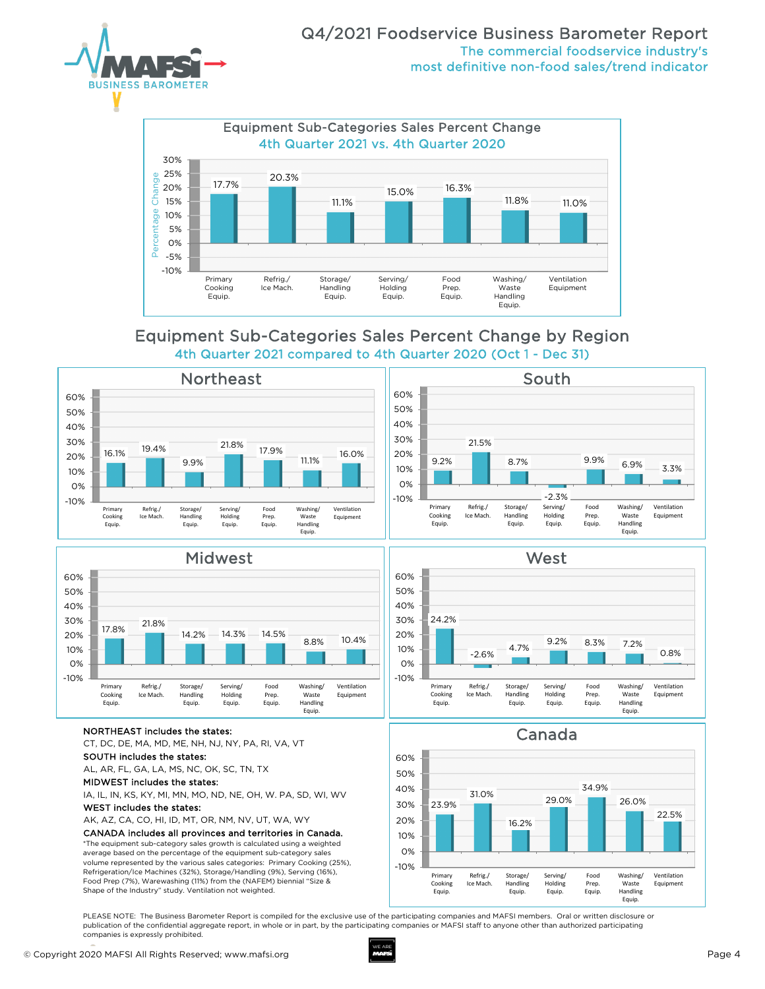



# Equipment Sub-Categories Sales Percent Change by Region 4th Quarter 2021 compared to 4th Quarter 2020 (Oct 1 - Dec 31)



-10% 0% 10% 20% 30% 40% 50% 60%

Primary Cooking Equip.

24.2%

Refrig./ Ice Mach.

-2.6%

Storage/ Handling Equip.

4.7%



#### NORTHEAST includes the states:

CT, DC, DE, MA, MD, ME, NH, NJ, NY, PA, RI, VA, VT

#### SOUTH includes the states:

AL, AR, FL, GA, LA, MS, NC, OK, SC, TN, TX

MIDWEST includes the states:

IA, IL, IN, KS, KY, MI, MN, MO, ND, NE, OH, W. PA, SD, WI, WV

#### WEST includes the states:

AK, AZ, CA, CO, HI, ID, MT, OR, NM, NV, UT, WA, WY

#### CANADA includes all provinces and territories in Canada.

\*The equipment sub-category sales growth is calculated using a weighted average based on the percentage of the equipment sub-category sales volume represented by the various sales categories: Primary Cooking (25%), Refrigeration/Ice Machines (32%), Storage/Handling (9%), Serving (16%), Food Prep (7%), Warewashing (11%) from the (NAFEM) biennial "Size & Shape of the Industry" study. Ventilation not weighted.

Equip. Canada

Serving/ Holding

**West** 

Food Prep. Equip.

9.2% 8.3% 7.2%

Washing/ Waste Handling Equip.

Ventilation Equipment

0.8%



PLEASE NOTE: The Business Barometer Report is compiled for the exclusive use of the participating companies and MAFSI members. Oral or written disclosure or publication of the confidential aggregate report, in whole or in part, by the participating companies or MAFSI staff to anyone other than authorized participating companies is expressly prohibited.

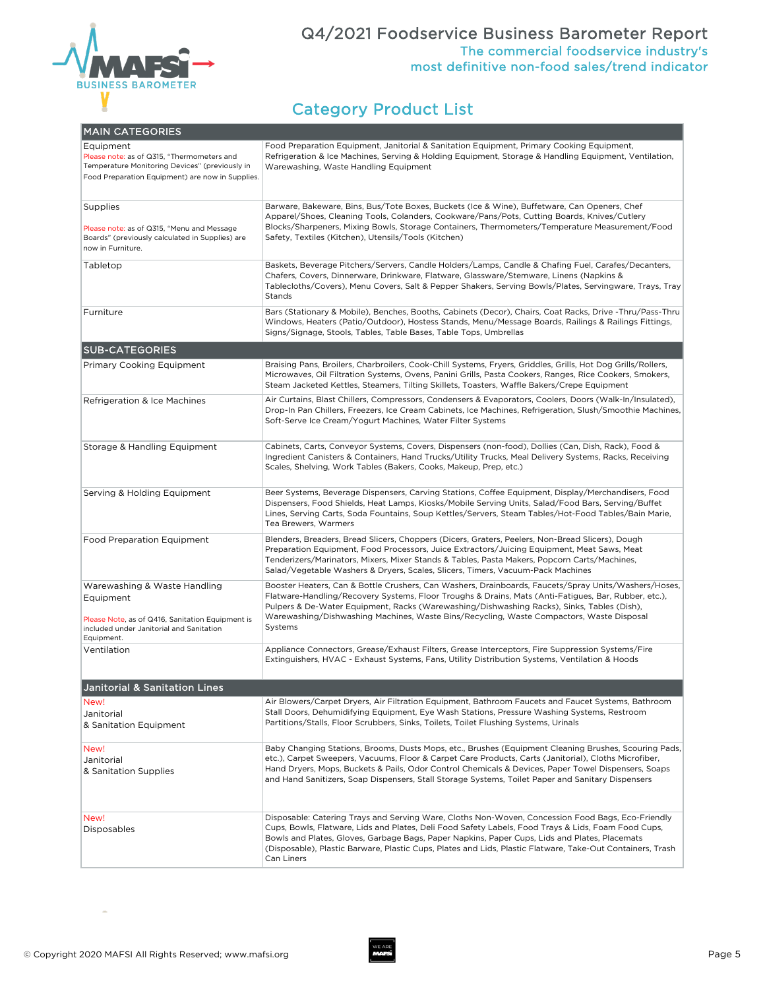

## Q4/2021 Foodservice Business Barometer Report The commercial foodservice industry's most definitive non-food sales/trend indicator

# Category Product List

| <b>MAIN CATEGORIES</b>                                                                                                                                        |                                                                                                                                                                                                                                                                                                                                                                                                                                       |  |  |  |
|---------------------------------------------------------------------------------------------------------------------------------------------------------------|---------------------------------------------------------------------------------------------------------------------------------------------------------------------------------------------------------------------------------------------------------------------------------------------------------------------------------------------------------------------------------------------------------------------------------------|--|--|--|
| Equipment<br>Please note: as of Q315, "Thermometers and<br>Temperature Monitoring Devices" (previously in<br>Food Preparation Equipment) are now in Supplies. | Food Preparation Equipment, Janitorial & Sanitation Equipment, Primary Cooking Equipment,<br>Refrigeration & Ice Machines, Serving & Holding Equipment, Storage & Handling Equipment, Ventilation,<br>Warewashing, Waste Handling Equipment                                                                                                                                                                                           |  |  |  |
| Supplies<br>Please note: as of Q315, "Menu and Message<br>Boards" (previously calculated in Supplies) are<br>now in Furniture.                                | Barware, Bakeware, Bins, Bus/Tote Boxes, Buckets (Ice & Wine), Buffetware, Can Openers, Chef<br>Apparel/Shoes, Cleaning Tools, Colanders, Cookware/Pans/Pots, Cutting Boards, Knives/Cutlery<br>Blocks/Sharpeners, Mixing Bowls, Storage Containers, Thermometers/Temperature Measurement/Food<br>Safety, Textiles (Kitchen), Utensils/Tools (Kitchen)                                                                                |  |  |  |
| Tabletop                                                                                                                                                      | Baskets, Beverage Pitchers/Servers, Candle Holders/Lamps, Candle & Chafing Fuel, Carafes/Decanters,<br>Chafers, Covers, Dinnerware, Drinkware, Flatware, Glassware/Stemware, Linens (Napkins &<br>Tablecloths/Covers), Menu Covers, Salt & Pepper Shakers, Serving Bowls/Plates, Servingware, Trays, Tray<br>Stands                                                                                                                   |  |  |  |
| Furniture                                                                                                                                                     | Bars (Stationary & Mobile), Benches, Booths, Cabinets (Decor), Chairs, Coat Racks, Drive -Thru/Pass-Thru<br>Windows, Heaters (Patio/Outdoor), Hostess Stands, Menu/Message Boards, Railings & Railings Fittings,<br>Signs/Signage, Stools, Tables, Table Bases, Table Tops, Umbrellas                                                                                                                                                 |  |  |  |
| <b>SUB-CATEGORIES</b>                                                                                                                                         |                                                                                                                                                                                                                                                                                                                                                                                                                                       |  |  |  |
| <b>Primary Cooking Equipment</b>                                                                                                                              | Braising Pans, Broilers, Charbroilers, Cook-Chill Systems, Fryers, Griddles, Grills, Hot Dog Grills/Rollers,<br>Microwaves, Oil Filtration Systems, Ovens, Panini Grills, Pasta Cookers, Ranges, Rice Cookers, Smokers,<br>Steam Jacketed Kettles, Steamers, Tilting Skillets, Toasters, Waffle Bakers/Crepe Equipment                                                                                                                |  |  |  |
| Refrigeration & Ice Machines                                                                                                                                  | Air Curtains, Blast Chillers, Compressors, Condensers & Evaporators, Coolers, Doors (Walk-In/Insulated),<br>Drop-In Pan Chillers, Freezers, Ice Cream Cabinets, Ice Machines, Refrigeration, Slush/Smoothie Machines,<br>Soft-Serve Ice Cream/Yogurt Machines, Water Filter Systems                                                                                                                                                   |  |  |  |
| Storage & Handling Equipment                                                                                                                                  | Cabinets, Carts, Conveyor Systems, Covers, Dispensers (non-food), Dollies (Can, Dish, Rack), Food &<br>Ingredient Canisters & Containers, Hand Trucks/Utility Trucks, Meal Delivery Systems, Racks, Receiving<br>Scales, Shelving, Work Tables (Bakers, Cooks, Makeup, Prep, etc.)                                                                                                                                                    |  |  |  |
| Serving & Holding Equipment                                                                                                                                   | Beer Systems, Beverage Dispensers, Carving Stations, Coffee Equipment, Display/Merchandisers, Food<br>Dispensers, Food Shields, Heat Lamps, Kiosks/Mobile Serving Units, Salad/Food Bars, Serving/Buffet<br>Lines, Serving Carts, Soda Fountains, Soup Kettles/Servers, Steam Tables/Hot-Food Tables/Bain Marie,<br>Tea Brewers, Warmers                                                                                              |  |  |  |
| <b>Food Preparation Equipment</b>                                                                                                                             | Blenders, Breaders, Bread Slicers, Choppers (Dicers, Graters, Peelers, Non-Bread Slicers), Dough<br>Preparation Equipment, Food Processors, Juice Extractors/Juicing Equipment, Meat Saws, Meat<br>Tenderizers/Marinators, Mixers, Mixer Stands & Tables, Pasta Makers, Popcorn Carts/Machines,<br>Salad/Vegetable Washers & Dryers, Scales, Slicers, Timers, Vacuum-Pack Machines                                                    |  |  |  |
| Warewashing & Waste Handling<br>Equipment<br>Please Note, as of Q416, Sanitation Equipment is<br>included under Janitorial and Sanitation<br>Equipment.       | Booster Heaters, Can & Bottle Crushers, Can Washers, Drainboards, Faucets/Spray Units/Washers/Hoses,<br>Flatware-Handling/Recovery Systems, Floor Troughs & Drains, Mats (Anti-Fatigues, Bar, Rubber, etc.),<br>Pulpers & De-Water Equipment, Racks (Warewashing/Dishwashing Racks), Sinks, Tables (Dish),<br>Warewashing/Dishwashing Machines, Waste Bins/Recycling, Waste Compactors, Waste Disposal<br>Systems                     |  |  |  |
| Ventilation                                                                                                                                                   | Appliance Connectors, Grease/Exhaust Filters, Grease Interceptors, Fire Suppression Systems/Fire<br>Extinguishers, HVAC - Exhaust Systems, Fans, Utility Distribution Systems, Ventilation & Hoods                                                                                                                                                                                                                                    |  |  |  |
| <b>Janitorial &amp; Sanitation Lines</b>                                                                                                                      |                                                                                                                                                                                                                                                                                                                                                                                                                                       |  |  |  |
| New!<br>Janitorial<br>& Sanitation Equipment                                                                                                                  | Air Blowers/Carpet Dryers, Air Filtration Equipment, Bathroom Faucets and Faucet Systems, Bathroom<br>Stall Doors, Dehumidifying Equipment, Eye Wash Stations, Pressure Washing Systems, Restroom<br>Partitions/Stalls, Floor Scrubbers, Sinks, Toilets, Toilet Flushing Systems, Urinals                                                                                                                                             |  |  |  |
| New!<br>Janitorial<br>& Sanitation Supplies                                                                                                                   | Baby Changing Stations, Brooms, Dusts Mops, etc., Brushes (Equipment Cleaning Brushes, Scouring Pads,<br>etc.), Carpet Sweepers, Vacuums, Floor & Carpet Care Products, Carts (Janitorial), Cloths Microfiber,<br>Hand Dryers, Mops, Buckets & Pails, Odor Control Chemicals & Devices, Paper Towel Dispensers, Soaps<br>and Hand Sanitizers, Soap Dispensers, Stall Storage Systems, Toilet Paper and Sanitary Dispensers            |  |  |  |
| New!<br>Disposables                                                                                                                                           | Disposable: Catering Trays and Serving Ware, Cloths Non-Woven, Concession Food Bags, Eco-Friendly<br>Cups, Bowls, Flatware, Lids and Plates, Deli Food Safety Labels, Food Trays & Lids, Foam Food Cups,<br>Bowls and Plates, Gloves, Garbage Bags, Paper Napkins, Paper Cups, Lids and Plates, Placemats<br>(Disposable), Plastic Barware, Plastic Cups, Plates and Lids, Plastic Flatware, Take-Out Containers, Trash<br>Can Liners |  |  |  |

 $\sim$